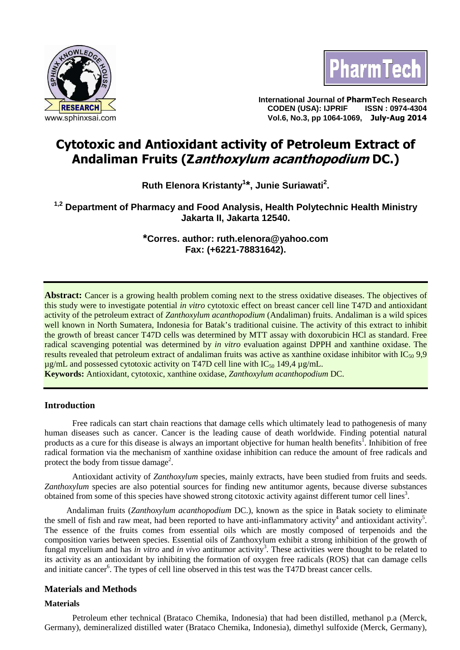



**International Journal of PharmTech Research CODEN (USA): IJPRIF ISSN : 0974-4304 Vol.6, No.3, pp 1064-1069, July-Aug 2014** 

# **Cytotoxic and Antioxidant activity of Petroleum Extract of Andaliman Fruits (Zanthoxylum acanthopodium DC.)**

**Ruth Elenora Kristanty<sup>1</sup> \*, Junie Suriawati<sup>2</sup> .** 

**1,2 Department of Pharmacy and Food Analysis, Health Polytechnic Health Ministry Jakarta II, Jakarta 12540.** 

> **\*Corres. author: ruth.elenora@yahoo.com Fax: (+6221-78831642).**

Abstract: Cancer is a growing health problem coming next to the stress oxidative diseases. The objectives of this study were to investigate potential *in vitro* cytotoxic effect on breast cancer cell line T47D and antioxidant activity of the petroleum extract of *Zanthoxylum acanthopodium* (Andaliman) fruits. Andaliman is a wild spices well known in North Sumatera, Indonesia for Batak's traditional cuisine. The activity of this extract to inhibit the growth of breast cancer T47D cells was determined by MTT assay with doxorubicin HCl as standard. Free radical scavenging potential was determined by *in vitro* evaluation against DPPH and xanthine oxidase. The results revealed that petroleum extract of andaliman fruits was active as xanthine oxidase inhibitor with  $IC_{50}$  9,9  $\mu$ g/mL and possessed cytotoxic activity on T47D cell line with IC<sub>50</sub> 149,4  $\mu$ g/mL.

**Keywords:** Antioxidant, cytotoxic, xanthine oxidase, *Zanthoxylum acanthopodium* DC.

# **Introduction**

Free radicals can start chain reactions that damage cells which ultimately lead to pathogenesis of many human diseases such as cancer. Cancer is the leading cause of death worldwide. Finding potential natural products as a cure for this disease is always an important objective for human health benefits<sup>1</sup>. Inhibition of free radical formation via the mechanism of xanthine oxidase inhibition can reduce the amount of free radicals and protect the body from tissue damage<sup>2</sup>.

Antioxidant activity of *Zanthoxylum* species, mainly extracts, have been studied from fruits and seeds. *Zanthoxylum* species are also potential sources for finding new antitumor agents, because diverse substances obtained from some of this species have showed strong citotoxic activity against different tumor cell lines<sup>3</sup>.

Andaliman fruits (*Zanthoxylum acanthopodium* DC.), known as the spice in Batak society to eliminate the smell of fish and raw meat, had been reported to have anti-inflammatory activity<sup>4</sup> and antioxidant activity<sup>5</sup>. The essence of the fruits comes from essential oils which are mostly composed of terpenoids and the composition varies between species. Essential oils of Zanthoxylum exhibit a strong inhibition of the growth of fungal mycelium and has *in vitro* and *in vivo* antitumor activity<sup>3</sup>. These activities were thought to be related to its activity as an antioxidant by inhibiting the formation of oxygen free radicals (ROS) that can damage cells and initiate cancer<sup>6</sup>. The types of cell line observed in this test was the T47D breast cancer cells.

# **Materials and Methods**

# **Materials**

Petroleum ether technical (Brataco Chemika, Indonesia) that had been distilled, methanol p.a (Merck, Germany), demineralized distilled water (Brataco Chemika, Indonesia), dimethyl sulfoxide (Merck, Germany),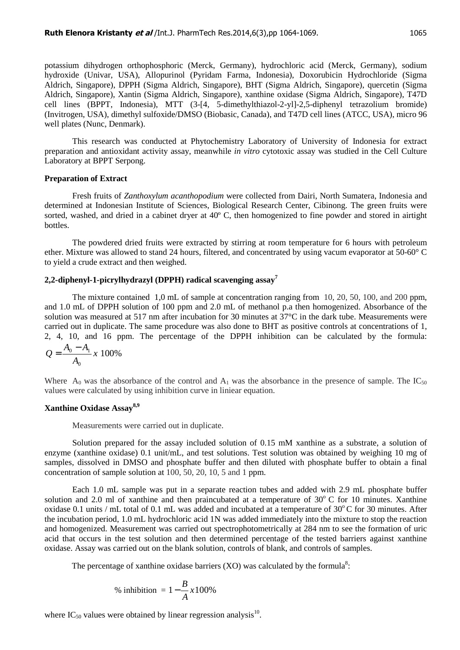potassium dihydrogen orthophosphoric (Merck, Germany), hydrochloric acid (Merck, Germany), sodium hydroxide (Univar, USA), Allopurinol (Pyridam Farma, Indonesia), Doxorubicin Hydrochloride (Sigma Aldrich, Singapore), DPPH (Sigma Aldrich, Singapore), BHT (Sigma Aldrich, Singapore), quercetin (Sigma Aldrich, Singapore), Xantin (Sigma Aldrich, Singapore), xanthine oxidase (Sigma Aldrich, Singapore), T47D cell lines (BPPT, Indonesia), MTT (3-[4, 5-dimethylthiazol-2-yl]-2,5-diphenyl tetrazolium bromide) (Invitrogen, USA), dimethyl sulfoxide/DMSO (Biobasic, Canada), and T47D cell lines (ATCC, USA), micro 96 well plates (Nunc, Denmark).

This research was conducted at Phytochemistry Laboratory of University of Indonesia for extract preparation and antioxidant activity assay, meanwhile *in vitro* cytotoxic assay was studied in the Cell Culture Laboratory at BPPT Serpong.

#### **Preparation of Extract**

Fresh fruits of *Zanthoxylum acanthopodium* were collected from Dairi, North Sumatera, Indonesia and determined at Indonesian Institute of Sciences, Biological Research Center, Cibinong. The green fruits were sorted, washed, and dried in a cabinet dryer at 40° C, then homogenized to fine powder and stored in airtight bottles.

The powdered dried fruits were extracted by stirring at room temperature for 6 hours with petroleum ether. Mixture was allowed to stand 24 hours, filtered, and concentrated by using vacum evaporator at 50-60° C to yield a crude extract and then weighed.

# **2,2-diphenyl-1-picrylhydrazyl (DPPH) radical scavenging assay<sup>7</sup>**

The mixture contained 1,0 mL of sample at concentration ranging from 10, 20, 50, 100, and 200 ppm, and 1.0 mL of DPPH solution of 100 ppm and 2.0 mL of methanol p.a then homogenized. Absorbance of the solution was measured at 517 nm after incubation for 30 minutes at 37°C in the dark tube. Measurements were carried out in duplicate. The same procedure was also done to BHT as positive controls at concentrations of 1, 2, 4, 10, and 16 ppm. The percentage of the DPPH inhibition can be calculated by the formula: 100%  $\frac{0}{1}$   $\frac{1}{1}$   $x$ *A*  $A_0 - A$ *Q* − =

Where  $A_0$  was the absorbance of the control and  $A_1$  was the absorbance in the presence of sample. The IC<sub>50</sub> values were calculated by using inhibition curve in liniear equation.

# **Xanthine Oxidase Assay8,9**

 $\mathbf{0}$ 

Measurements were carried out in duplicate.

Solution prepared for the assay included solution of 0.15 mM xanthine as a substrate, a solution of enzyme (xanthine oxidase) 0.1 unit/mL, and test solutions. Test solution was obtained by weighing 10 mg of samples, dissolved in DMSO and phosphate buffer and then diluted with phosphate buffer to obtain a final concentration of sample solution at 100, 50, 20, 10, 5 and 1 ppm.

Each 1.0 mL sample was put in a separate reaction tubes and added with 2.9 mL phosphate buffer solution and 2.0 ml of xanthine and then praincubated at a temperature of  $30^{\circ}$  C for 10 minutes. Xanthine oxidase 0.1 units / mL total of 0.1 mL was added and incubated at a temperature of  $30^{\circ}$ C for 30 minutes. After the incubation period, 1.0 mL hydrochloric acid 1N was added immediately into the mixture to stop the reaction and homogenized. Measurement was carried out spectrophotometrically at 284 nm to see the formation of uric acid that occurs in the test solution and then determined percentage of the tested barriers against xanthine oxidase. Assay was carried out on the blank solution, controls of blank, and controls of samples.

The percentage of xanthine oxidase barriers (XO) was calculated by the formula<sup>8</sup>:

% inhibition = 
$$
1 - \frac{B}{A} \times 100\%
$$

where  $IC_{50}$  values were obtained by linear regression analysis<sup>10</sup>.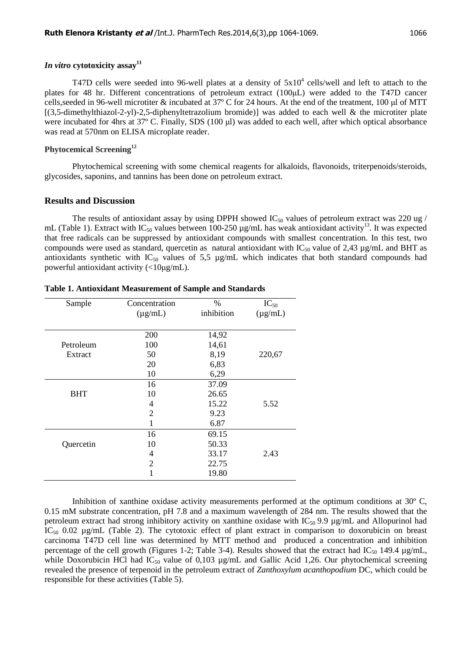# *In vitro* **cytotoxicity assay<sup>11</sup>**

T47D cells were seeded into 96-well plates at a density of  $5x10^4$  cells/well and left to attach to the plates for 48 hr. Different concentrations of petroleum extract (100µL) were added to the T47D cancer cells,seeded in 96-well microtiter & incubated at 37º C for 24 hours. At the end of the treatment, 100 µl of MTT [(3,5-dimethylthiazol-2-yl)-2,5-diphenyltetrazolium bromide)] was added to each well & the microtiter plate were incubated for 4hrs at 37° C. Finally, SDS (100 µl) was added to each well, after which optical absorbance was read at 570nm on ELISA microplate reader.

# **Phytocemical Screening<sup>12</sup>**

Phytochemical screening with some chemical reagents for alkaloids, flavonoids, triterpenoids/steroids, glycosides, saponins, and tannins has been done on petroleum extract.

# **Results and Discussion**

The results of antioxidant assay by using DPPH showed  $IC_{50}$  values of petroleum extract was 220 ug / mL (Table 1). Extract with  $IC_{50}$  values between 100-250 µg/mL has weak antioxidant activity<sup>13</sup>. It was expected that free radicals can be suppressed by antioxidant compounds with smallest concentration. In this test, two compounds were used as standard, quercetin as natural antioxidant with  $IC_{50}$  value of 2,43  $\mu$ g/mL and BHT as antioxidants synthetic with  $IC_{50}$  values of 5,5 µg/mL which indicates that both standard compounds had powerful antioxidant activity (<10µg/mL).

| Sample     | Concentration  | %          | $IC_{50}$    |
|------------|----------------|------------|--------------|
|            | $(\mu g/mL)$   | inhibition | $(\mu g/mL)$ |
|            |                |            |              |
|            | 200            | 14,92      |              |
| Petroleum  | 100            | 14,61      |              |
| Extract    | 50             | 8,19       | 220,67       |
|            | 20             | 6,83       |              |
|            | 10             | 6,29       |              |
|            | 16             | 37.09      |              |
| <b>BHT</b> | 10             | 26.65      |              |
|            | 4              | 15.22      | 5.52         |
|            | $\overline{2}$ | 9.23       |              |
|            | 1              | 6.87       |              |
|            | 16             | 69.15      |              |
| Quercetin  | 10             | 50.33      |              |
|            | 4              | 33.17      | 2.43         |
|            | 2              | 22.75      |              |
|            | 1              | 19.80      |              |

| Table 1. Antioxidant Measurement of Sample and Standards |  |
|----------------------------------------------------------|--|
|----------------------------------------------------------|--|

Inhibition of xanthine oxidase activity measurements performed at the optimum conditions at 30º C, 0.15 mM substrate concentration, pH 7.8 and a maximum wavelength of 284 nm. The results showed that the petroleum extract had strong inhibitory activity on xanthine oxidase with  $IC_{50}$  9.9 µg/mL and Allopurinol had  $IC_{50}$  0.02  $\mu$ g/mL (Table 2). The cytotoxic effect of plant extract in comparison to doxorubicin on breast carcinoma T47D cell line was determined by MTT method and produced a concentration and inhibition percentage of the cell growth (Figures 1-2; Table 3-4). Results showed that the extract had  $IC_{50}$  149.4  $\mu$ g/mL, while Doxorubicin HCl had  $IC_{50}$  value of 0,103  $\mu$ g/mL and Gallic Acid 1,26. Our phytochemical screening revealed the presence of terpenoid in the petroleum extract of *Zanthoxylum acanthopodium* DC, which could be responsible for these activities (Table 5).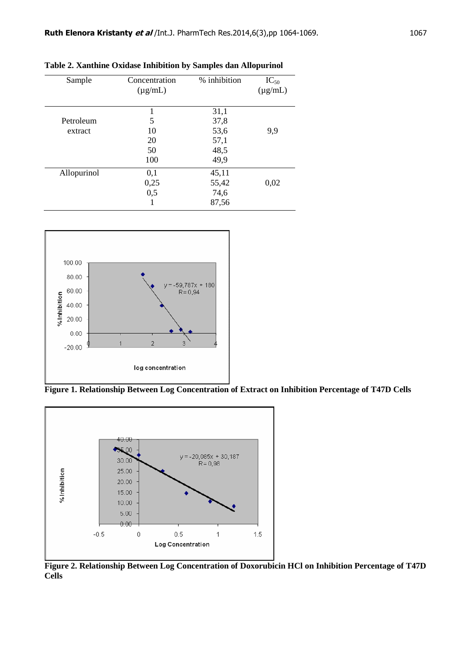| Sample      | Concentration<br>$(\mu g/mL)$ | % inhibition | $IC_{50}$<br>$(\mu g/mL)$ |
|-------------|-------------------------------|--------------|---------------------------|
|             |                               | 31,1         |                           |
| Petroleum   | 5                             | 37,8         |                           |
| extract     | 10                            | 53,6         | 9,9                       |
|             | 20                            | 57,1         |                           |
|             | 50                            | 48,5         |                           |
|             | 100                           | 49,9         |                           |
| Allopurinol | 0,1                           | 45,11        |                           |
|             | 0,25                          | 55,42        | 0,02                      |
|             | 0,5                           | 74,6         |                           |
|             | 1                             | 87,56        |                           |

**Table 2. Xanthine Oxidase Inhibition by Samples dan Allopurinol** 



**Figure 1. Relationship Between Log Concentration of Extract on Inhibition Percentage of T47D Cells** 



**Figure 2. Relationship Between Log Concentration of Doxorubicin HCl on Inhibition Percentage of T47D Cells**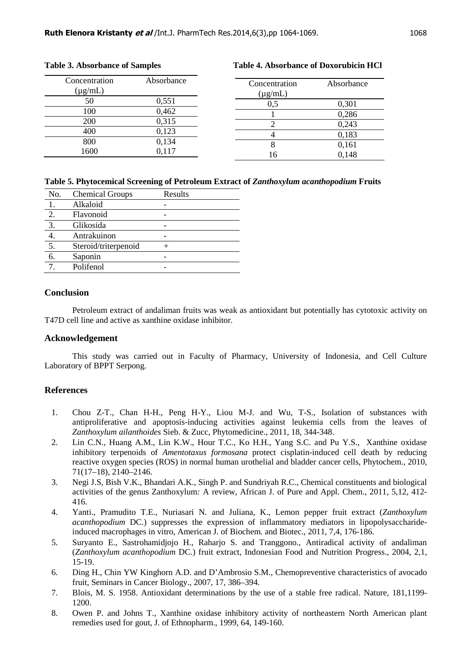| I |
|---|
|   |

| Concentration<br>$(\mu g/mL)$ | Absorbance | Concentration<br>$(\mu g/mL)$ | Absorbance |
|-------------------------------|------------|-------------------------------|------------|
| 50                            | 0,551      | 0,5                           | 0,301      |
| 100                           | 0,462      |                               | 0,286      |
| 200                           | 0,315      |                               | 0,243      |
| 400                           | 0,123      |                               | 0,183      |
| 800                           | 0,134      | O                             | 0,161      |
| 1600                          | 0.117      | 16                            | 0,148      |

# **Table 5. Phytocemical Screening of Petroleum Extract of** *Zanthoxylum acanthopodium* **Fruits**

| No.              | <b>Chemical Groups</b> | Results |
|------------------|------------------------|---------|
|                  | Alkaloid               |         |
| 2.               | Flavonoid              |         |
| $\overline{3}$ . | Glikosida              |         |
|                  | Antrakuinon            |         |
| $\overline{5}$ . | Steroid/triterpenoid   |         |
| 6.               | Saponin                |         |
|                  | Polifenol              |         |

#### **Conclusion**

Petroleum extract of andaliman fruits was weak as antioxidant but potentially has cytotoxic activity on T47D cell line and active as xanthine oxidase inhibitor.

# **Acknowledgement**

This study was carried out in Faculty of Pharmacy, University of Indonesia, and Cell Culture Laboratory of BPPT Serpong.

#### **References**

- 1. Chou Z-T., Chan H-H., Peng H-Y., Liou M-J. and Wu, T-S., Isolation of substances with antiproliferative and apoptosis-inducing activities against leukemia cells from the leaves of *Zanthoxylum ailanthoides* Sieb. & Zucc, Phytomedicine., 2011, 18, 344-348.
- 2. Lin C.N., Huang A.M., Lin K.W., Hour T.C., Ko H.H., Yang S.C. and Pu Y.S., Xanthine oxidase inhibitory terpenoids of *Amentotaxus formosana* protect cisplatin-induced cell death by reducing reactive oxygen species (ROS) in normal human urothelial and bladder cancer cells, Phytochem., 2010, 71(17–18), 2140–2146.
- 3. Negi J.S, Bish V.K., Bhandari A.K., Singh P. and Sundriyah R.C., Chemical constituents and biological activities of the genus Zanthoxylum*:* A review, African J. of Pure and Appl. Chem., 2011, 5,12, 412- 416.
- 4. Yanti., Pramudito T.E., Nuriasari N. and Juliana, K., Lemon pepper fruit extract (*Zanthoxylum acanthopodium* DC.) suppresses the expression of inflammatory mediators in lipopolysaccharideinduced macrophages in vitro, American J. of Biochem. and Biotec., 2011, 7,4, 176-186.
- 5. Suryanto E., Sastrohamidjojo H., Raharjo S. and Tranggono., Antiradical activity of andaliman (*Zanthoxylum acanthopodium* DC.) fruit extract, Indonesian Food and Nutrition Progress., 2004, 2,1, 15-19.
- 6. Ding H., Chin YW Kinghorn A.D. and D'Ambrosio S.M., Chemopreventive characteristics of avocado fruit, Seminars in Cancer Biology., 2007, 17, 386–394.
- 7. Blois, M. S. 1958. Antioxidant determinations by the use of a stable free radical. Nature, 181,1199- 1200.
- 8. Owen P. and Johns T., Xanthine oxidase inhibitory activity of northeastern North American plant remedies used for gout, J. of Ethnopharm., 1999, 64, 149-160.

# **Table 3. Absorbance of Samples Table 4. Absorbance of Doxorubicin HCl**